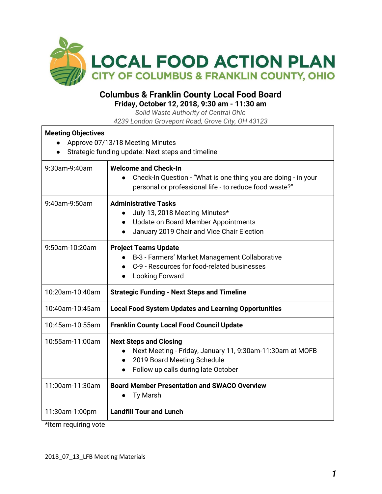

## **Columbus & Franklin County Local Food Board**

**Friday, October 12, 2018, 9:30 am - 11:30 am**

*Solid Waste Authority of Central Ohio 4239 London Groveport Road, Grove City, OH 43123*

| <b>Meeting Objectives</b> | Approve 07/13/18 Meeting Minutes<br>Strategic funding update: Next steps and timeline                                                                                                      |  |
|---------------------------|--------------------------------------------------------------------------------------------------------------------------------------------------------------------------------------------|--|
| 9:30am-9:40am             | <b>Welcome and Check-In</b><br>Check-In Question - "What is one thing you are doing - in your<br>personal or professional life - to reduce food waste?"                                    |  |
| 9:40am-9:50am             | <b>Administrative Tasks</b><br>July 13, 2018 Meeting Minutes*<br>$\bullet$<br>Update on Board Member Appointments<br>January 2019 Chair and Vice Chair Election                            |  |
| 9:50am-10:20am            | <b>Project Teams Update</b><br>B-3 - Farmers' Market Management Collaborative<br>C-9 - Resources for food-related businesses<br><b>Looking Forward</b>                                     |  |
| 10:20am-10:40am           | <b>Strategic Funding - Next Steps and Timeline</b>                                                                                                                                         |  |
| 10:40am-10:45am           | <b>Local Food System Updates and Learning Opportunities</b>                                                                                                                                |  |
| 10:45am-10:55am           | <b>Franklin County Local Food Council Update</b>                                                                                                                                           |  |
| 10:55am-11:00am           | <b>Next Steps and Closing</b><br>Next Meeting - Friday, January 11, 9:30am-11:30am at MOFB<br>2019 Board Meeting Schedule<br>$\bullet$<br>Follow up calls during late October<br>$\bullet$ |  |
| 11:00am-11:30am           | <b>Board Member Presentation and SWACO Overview</b><br><b>Ty Marsh</b><br>$\bullet$                                                                                                        |  |
| 11:30am-1:00pm            | <b>Landfill Tour and Lunch</b>                                                                                                                                                             |  |

\*Item requiring vote